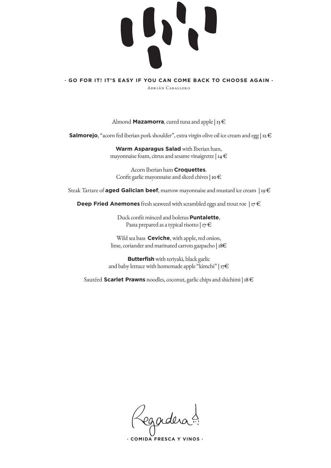

**· GO FOR IT! IT'S EASY IF YOU CAN COME BACK TO CHOOSE AGAIN ·** Adrián Caballero

Almond **Mazamorra**, cured tuna and apple |  $13 \notin$ 

**Salmorejo**, "acorn fed iberian pork shoulder", extra virgin olive oil ice cream and egg | 12 €

**Warm Asparagus Salad** with Iberian ham, mayonnaise foam, citrus and sesame vinaigrette | 14  $\in$ 

Acorn Iberian ham **Croquettes**. Confit garlic mayonnaise and sliced chives  $|$  10  $\in$ 

Steak Tartare of **aged Galician beef**, marrow mayonnaise and mustard ice cream | 19 €

**Deep Fried Anemones** fresh seaweed with scrambled eggs and trout roe  $|_{17} \in$ 

Duck confit minced and boletus **Puntalette**, Pasta prepared as a typical risotto | 17 $\in$ 

Wild sea bass **Ceviche**, with apple, red onion, lime, coriander and marinated carrots gazpacho | 18€

**Butterfish** with teriyaki, black garlic and baby lettuce with homemade apple "kimchi" | 17 $\in$ 

Sautéed **Scarlet Prawns** noodles, coconut, garlic chips and shichimi | 18 €

egadera !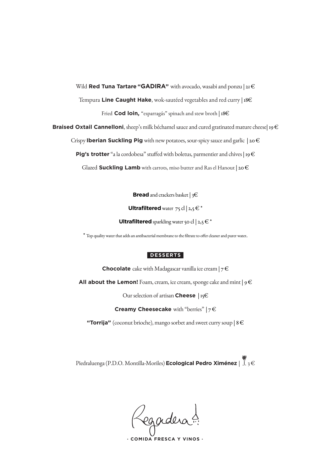Wild **Red Tuna Tartare "GADIRA"** with avocado, wasabi and ponzu | 21 €

Tempura **Line Caught Hake**, wok-sautéed vegetables and red curry | 18€

Fried **Cod loin,** "esparragás" spinach and stew broth | **18€** 

**Braised Oxtail Cannelloni**, sheep's milk béchamel sauce and cured gratinated mature cheese| 19 €

Crispy **Iberian Suckling Pig** with new potatoes, sour-spicy sauce and garlic | 20 €

**Pig's trotter** "a la cordobesa" stuffed with boletus, parmentier and chives | 19 €

Glazed **Suckling Lamb** with carrots, miso butter and Ras el Hanout | 20  $\epsilon$ 

**Bread** and crackers basket | 3€

**Ultrafiltered** water  $75$  cl  $|2,5 \in \mathbb{R}^*$ 

**Ultrafiltered** sparkling water 50 cl  $|2,5 \in \mathbb{R}^*$ 

\* Top quality water that adds an antibacterial membrane to the filtrate to offer cleaner and purer water.

## **DESSERTS**

**Chocolate** cake with Madagascar vanilla ice cream  $|7 \in \mathbb{C}$ 

**All about the Lemon!** Foam, cream, ice cream, sponge cake and mint  $| 9 \in$ 

Our selection of artisan **Cheese** | 15€

**Creamy Cheesecake** with "berries" | 7 €

**"Torrija"** (coconut brioche), mango sorbet and sweet curry soup  $|8 \in \mathbb{R}$ 

Piedraluenga (P.D.O. Montilla-Moriles) **Ecological Pedro Ximénez** | 3 €

Regadera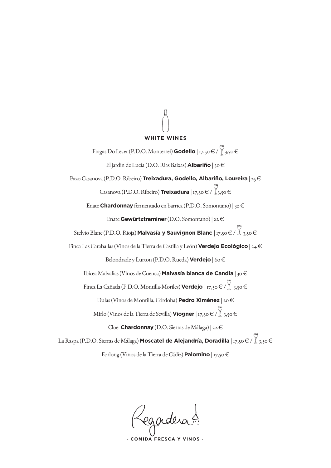### **WHITE WINES**

Fragas Do Lecer (P.D.O. Monterrei) **Godello** | 17,50 € /  $\sqrt{\frac{3}{3}}$ 3,50 € El jardín de Lucía (D.O. Rias Baixas) **Albariño** | 30 € Pazo Casanova (P.D.O. Ribeiro) **Treixadura, Godello, Albariño, Loureira** | 25 € Casanova (P.D.O. Ribeiro) **Treixadura** | 17,50 € /  $\angle$ 3,50 € Enate **Chardonnay** fermentado en barrica (P.D.O. Somontano) | 32 € Enate **Gewürtztraminer** (D.O. Somontano) | 22 € Stelvio Blanc (P.D.O. Rioja) **Malvasía y Sauvignon Blanc** | 17,50 € /  $\Big\}$  3,50 € Finca Las Caraballas (Vinos de la Tierra de Castilla y León) **Verdejo Ecológico**| 24 € Belondrade y Lurton (P.D.O. Rueda) **Verdejo** | 60 € Ibicea Malvalías (Vinos de Cuenca) **Malvasía blanca de Candia** | 30 € Finca La Cañada (P.D.O. Montilla-Moriles) **Verdejo** | 17,50 € / 3,50 € Dulas (Vinos de Montilla, Córdoba) **Pedro Ximénez** | 20 € Mirlo (Vinos de la Tierra de Sevilla) **Viogner** | 17,50 € / 3,50 € Cloe **Chardonnay** (D.O. Sierras de Málaga) | 22 €

La Raspa (P.D.O. Sierras de Málaga) **Moscatel de Alejandría, Doradilla** | 17,50 € / 3,50 € Forlong (Vinos de la Tierra de Cádiz) **Palomino** | 17,50 €

Legadera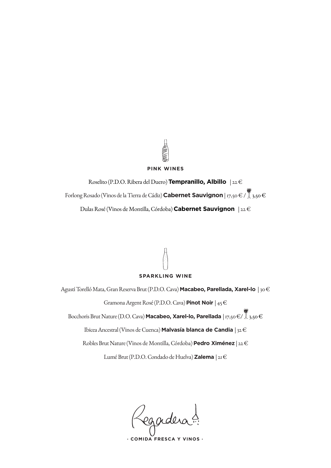### **PINK WINES**

Roselito (P.D.O. Ribera del Duero) **Tempranillo, Albillo** | 22 € Forlong Rosado (Vinos de la Tierra de Cádiz) **Cabernet Sauvignon** | 17,50 € / 3,50 € Dulas Rosé (Vinos de Montilla, Córdoba) **Cabernet Sauvignon** | 22 €

# **SPARKLING WINE**

Agustí Torelló Mata, Gran Reserva Brut (P.D.O. Cava) **Macabeo, Parellada, Xarel-lo** | 30 € Gramona Argent Rosé (P.D.O. Cava) **Pinot Noir** | 45 € Bocchoris Brut Nature (D.O. Cava) **Macabeo, Xarel-lo, Parellada** | 17,50 €/ 3,50 € Ibicea Ancestral (Vinos de Cuenca) **Malvasía blanca de Candia** | 32 €

Robles Brut Nature (Vinos de Montilla, Córdoba) **Pedro Ximénez** | 22 €

Lumé Brut (P.D.O. Condado de Huelva) **Zalema** | 21 €

Regadera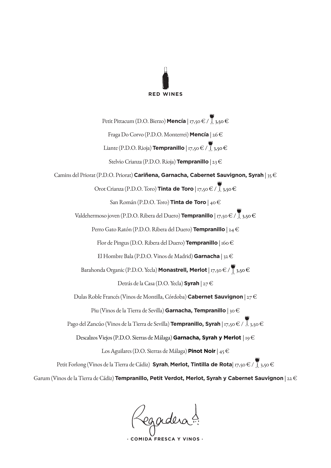

Petit Pittacum (D.O. Bierzo) **Mencía** | 17,50 € / **1** 3,50 € Fraga Do Corvo (P.D.O. Monterrei) **Mencía** | 26 € Liante (P.D.O. Rioja) **Tempranillo** | 17,50 € /  $\bigcup_{i=1}^{\infty}$  3,50 € Stelvio Crianza (P.D.O. Rioja) **Tempranillo** | 23 € Camins del Priorat (P.D.O. Priorat) **Cariñena, Garnacha, Cabernet Sauvignon, Syrah** | 35 € Orot Crianza (P.D.O. Toro) **Tinta de Toro** | 17,50 € / 3,50 € San Román (P.D.O. Toro) **Tinta de Toro** | 40 € Valdehermoso joven (P.D.O. Ribera del Duero) **Tempranillo** | 17,50 € / 3,50 € Perro Gato Ratón (P.D.O. Ribera del Duero) **Tempranillo** | 24 € Flor de Pingus (D.O. Ribera del Duero) **Tempranillo** | 160 € El Hombre Bala (P.D.O. Vinos de Madrid) **Garnacha** | 32 € Barahonda Organic (P.D.O. Yecla) Monastrell, Merlot | 17,50 € / 15,50 € Detrás de la Casa (D.O. Yecla) **Syrah** | 27 € Dulas Roble Francés (Vinos de Montilla, Córdoba) **Cabernet Sauvignon** | 27 € Piu (Vinos de la Tierra de Sevilla) **Garnacha, Tempranillo** | 30 € Pago del Zancúo (Vinos de la Tierra de Sevilla) **Tempranillo, Syrah** | 17,50 € /  $\overline{\mathbb{Z}}$ 3,50 € Descalzos Viejos (P.D.O. Sierras de Málaga) **Garnacha, Syrah y Merlot** | 19 € Los Aguilares (D.O. Sierras de Málaga) **Pinot Noir** | 45 € Petit Forlong (Vinos de la Tierra de Cádiz) **Syrah**, **Merlot, Tintilla de Rota**| 17,50 € / 3,50 €

Garum (Vinos de la Tierra de Cádiz) **Tempranillo, Petit Verdot, Merlot, Syrah y Cabernet Sauvignon** | 22 €

Regadera